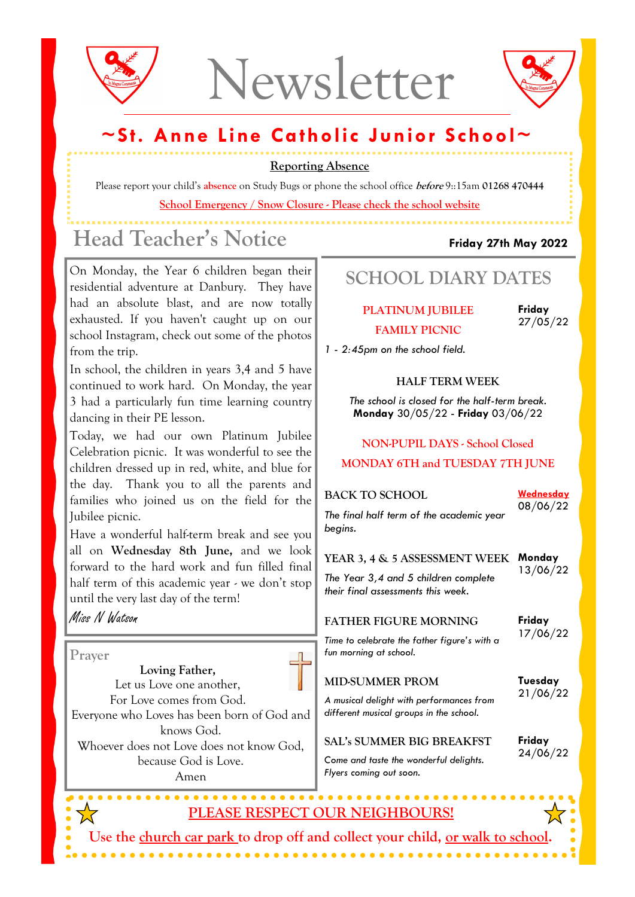



### ~St. Anne Line Catholic Junior School~

Reporting Absence

Please report your child's absence on Study Bugs or phone the school office *before* 9::15am 01268 470444 School Emergency / Snow Closure - Please check the school website

## Head Teacher's Notice Friday 27th May 2022

On Monday, the Year 6 children began their residential adventure at Danbury. They have had an absolute blast, and are now totally exhausted. If you haven't caught up on our school Instagram, check out some of the photos from the trip.

In school, the children in years 3,4 and 5 have continued to work hard. On Monday, the year 3 had a particularly fun time learning country dancing in their PE lesson.

Today, we had our own Platinum Jubilee Celebration picnic. It was wonderful to see the children dressed up in red, white, and blue for the day. Thank you to all the parents and families who joined us on the field for the Jubilee picnic.

Have a wonderful half-term break and see you all on Wednesday 8th June, and we look forward to the hard work and fun filled final half term of this academic year - we don't stop until the very last day of the term!

#### Miss N Watson

Prayer

Loving Father, Let us Love one another, For Love comes from God. Everyone who Loves has been born of God and knows God. Whoever does not Love does not know God, because God is Love. Amen

. . . . . . . .

SCHOOL DIARY DATES

PLATINUM JUBILEE FAMILY PICNIC

Friday 27/05/22

1 - 2:45pm on the school field.

#### HALF TERM WEEK

The school is closed for the half-term break. Monday 30/05/22 - Friday 03/06/22

#### NON-PUPIL DAYS - School Closed MONDAY 6TH and TUESDAY 7TH JUNE

| <b>BACK TO SCHOOL</b><br>The final half term of the academic year<br>begins.                                | <u>Wednesday</u><br>08/06/22 |
|-------------------------------------------------------------------------------------------------------------|------------------------------|
| YEAR 3, 4 & 5 ASSESSMENT WEEK<br>The Year 3,4 and 5 children complete<br>their final assessments this week. | Monday<br>13/06/22           |
| <b>FATHER FIGURE MORNING</b><br>Time to celebrate the father figure's with a<br>fun morning at school.      | Friday<br>17/06/22           |
| <b>MID-SUMMER PROM</b><br>A musical delight with porto meanors from                                         | Tuesday<br>21/06/22          |

A musical delight with performances from different musical groups in the school.

SAL's SUMMER BIG BREAKFST

Friday 24/06/22

Come and taste the wonderful delights. Flyers coming out soon.

### PLEASE RESPECT OUR NEIGHBOURS!

Use the church car park to drop off and collect your child, <u>or walk to school</u>. . . . . . . . . . . . . . . . .

. . . . . . . . . . . . . . . . . .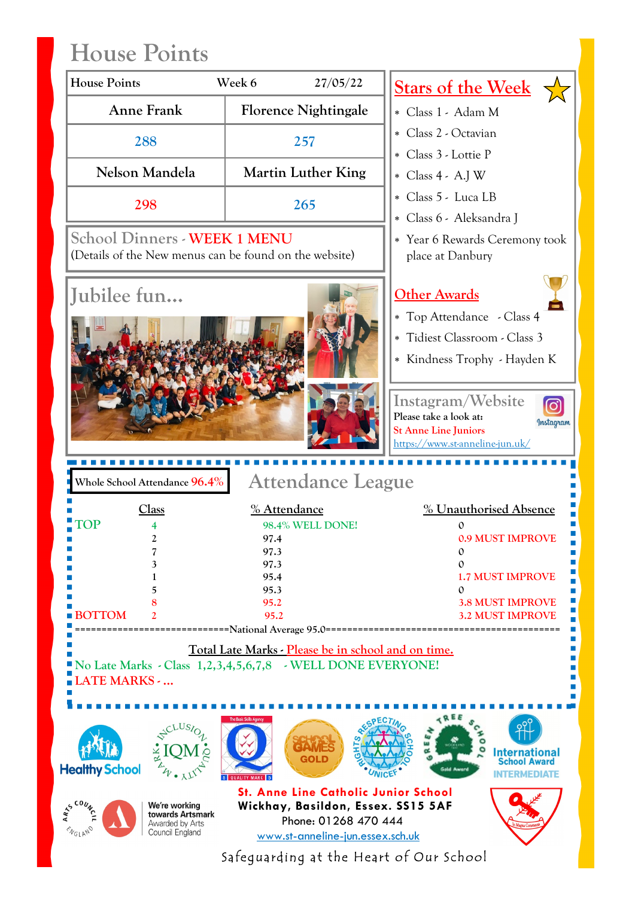# House Points

| Week 6<br>27/05/22<br><u>Stars of the Week</u><br><b>Anne Frank</b><br><b>Florence Nightingale</b><br>* Class 1 - Adam M<br>* Class 2 - Octavian<br>288<br>257<br>* Class 3 - Lottie P<br>Nelson Mandela<br><b>Martin Luther King</b><br>* Class 4 - A.J W<br>* Class 5 - Luca LB<br>298<br>265<br>* Class 6 - Aleksandra J<br>School Dinners - WEEK 1 MENU<br>* Year 6 Rewards Ceremony took<br>(Details of the New menus can be found on the website)<br>place at Danbury<br>Jubilee fun<br><u> Other Awards</u><br>* Top Attendance - Class 4<br>* Tidiest Classroom - Class 3<br>Instagram/Website<br>Please take a look at:<br><b>St Anne Line Juniors</b><br>https://www.st-anneline-jun.uk/<br><b>Attendance League</b><br>Whole School Attendance $96.4\%$<br>Class<br>% Attendance<br>rop<br>98.4% WELL DONE!<br>0.9 MUST IMPROVE<br>$\boldsymbol{z}$<br>97.4<br>7<br>97.3<br>$\mathbf{0}$<br>97.3<br>$\Omega$<br>3<br><b>1.7 MUST IMPROVE</b><br>95.4<br>95.3<br>5<br>$\Omega$<br>95.2<br><b>3.8 MUST IMPROVE</b><br><b>BOTTOM</b><br><b>3.2 MUST IMPROVE</b><br>95.2<br>==National Average 95.0==<br>Total Late Marks - Please be in school and on time.<br>No Late Marks - Class 1,2,3,4,5,6,7,8 - WELL DONE EVERYONE!<br><b>LATE MARKS - </b><br>SPECTIA<br>CLUSI <sub>C</sub><br>۰<br>GOLD<br><b>School Award</b><br>Gald Award<br><b>St. Anne Line Catholic Junior School</b><br>Wickhay, Basildon, Essex. SS15 5AF<br>We're working | <b>House Points</b>   |                              |
|-----------------------------------------------------------------------------------------------------------------------------------------------------------------------------------------------------------------------------------------------------------------------------------------------------------------------------------------------------------------------------------------------------------------------------------------------------------------------------------------------------------------------------------------------------------------------------------------------------------------------------------------------------------------------------------------------------------------------------------------------------------------------------------------------------------------------------------------------------------------------------------------------------------------------------------------------------------------------------------------------------------------------------------------------------------------------------------------------------------------------------------------------------------------------------------------------------------------------------------------------------------------------------------------------------------------------------------------------------------------------------------------------------------------------------------------------------|-----------------------|------------------------------|
|                                                                                                                                                                                                                                                                                                                                                                                                                                                                                                                                                                                                                                                                                                                                                                                                                                                                                                                                                                                                                                                                                                                                                                                                                                                                                                                                                                                                                                                     |                       |                              |
|                                                                                                                                                                                                                                                                                                                                                                                                                                                                                                                                                                                                                                                                                                                                                                                                                                                                                                                                                                                                                                                                                                                                                                                                                                                                                                                                                                                                                                                     |                       |                              |
|                                                                                                                                                                                                                                                                                                                                                                                                                                                                                                                                                                                                                                                                                                                                                                                                                                                                                                                                                                                                                                                                                                                                                                                                                                                                                                                                                                                                                                                     |                       |                              |
|                                                                                                                                                                                                                                                                                                                                                                                                                                                                                                                                                                                                                                                                                                                                                                                                                                                                                                                                                                                                                                                                                                                                                                                                                                                                                                                                                                                                                                                     |                       |                              |
|                                                                                                                                                                                                                                                                                                                                                                                                                                                                                                                                                                                                                                                                                                                                                                                                                                                                                                                                                                                                                                                                                                                                                                                                                                                                                                                                                                                                                                                     |                       |                              |
|                                                                                                                                                                                                                                                                                                                                                                                                                                                                                                                                                                                                                                                                                                                                                                                                                                                                                                                                                                                                                                                                                                                                                                                                                                                                                                                                                                                                                                                     |                       |                              |
|                                                                                                                                                                                                                                                                                                                                                                                                                                                                                                                                                                                                                                                                                                                                                                                                                                                                                                                                                                                                                                                                                                                                                                                                                                                                                                                                                                                                                                                     |                       |                              |
|                                                                                                                                                                                                                                                                                                                                                                                                                                                                                                                                                                                                                                                                                                                                                                                                                                                                                                                                                                                                                                                                                                                                                                                                                                                                                                                                                                                                                                                     |                       |                              |
|                                                                                                                                                                                                                                                                                                                                                                                                                                                                                                                                                                                                                                                                                                                                                                                                                                                                                                                                                                                                                                                                                                                                                                                                                                                                                                                                                                                                                                                     |                       |                              |
|                                                                                                                                                                                                                                                                                                                                                                                                                                                                                                                                                                                                                                                                                                                                                                                                                                                                                                                                                                                                                                                                                                                                                                                                                                                                                                                                                                                                                                                     |                       |                              |
|                                                                                                                                                                                                                                                                                                                                                                                                                                                                                                                                                                                                                                                                                                                                                                                                                                                                                                                                                                                                                                                                                                                                                                                                                                                                                                                                                                                                                                                     |                       |                              |
|                                                                                                                                                                                                                                                                                                                                                                                                                                                                                                                                                                                                                                                                                                                                                                                                                                                                                                                                                                                                                                                                                                                                                                                                                                                                                                                                                                                                                                                     |                       | * Kindness Trophy - Hayden K |
|                                                                                                                                                                                                                                                                                                                                                                                                                                                                                                                                                                                                                                                                                                                                                                                                                                                                                                                                                                                                                                                                                                                                                                                                                                                                                                                                                                                                                                                     |                       |                              |
|                                                                                                                                                                                                                                                                                                                                                                                                                                                                                                                                                                                                                                                                                                                                                                                                                                                                                                                                                                                                                                                                                                                                                                                                                                                                                                                                                                                                                                                     |                       |                              |
|                                                                                                                                                                                                                                                                                                                                                                                                                                                                                                                                                                                                                                                                                                                                                                                                                                                                                                                                                                                                                                                                                                                                                                                                                                                                                                                                                                                                                                                     |                       | Instagram                    |
|                                                                                                                                                                                                                                                                                                                                                                                                                                                                                                                                                                                                                                                                                                                                                                                                                                                                                                                                                                                                                                                                                                                                                                                                                                                                                                                                                                                                                                                     |                       |                              |
|                                                                                                                                                                                                                                                                                                                                                                                                                                                                                                                                                                                                                                                                                                                                                                                                                                                                                                                                                                                                                                                                                                                                                                                                                                                                                                                                                                                                                                                     |                       |                              |
|                                                                                                                                                                                                                                                                                                                                                                                                                                                                                                                                                                                                                                                                                                                                                                                                                                                                                                                                                                                                                                                                                                                                                                                                                                                                                                                                                                                                                                                     |                       |                              |
|                                                                                                                                                                                                                                                                                                                                                                                                                                                                                                                                                                                                                                                                                                                                                                                                                                                                                                                                                                                                                                                                                                                                                                                                                                                                                                                                                                                                                                                     |                       | % Unauthorised Absence       |
|                                                                                                                                                                                                                                                                                                                                                                                                                                                                                                                                                                                                                                                                                                                                                                                                                                                                                                                                                                                                                                                                                                                                                                                                                                                                                                                                                                                                                                                     |                       |                              |
|                                                                                                                                                                                                                                                                                                                                                                                                                                                                                                                                                                                                                                                                                                                                                                                                                                                                                                                                                                                                                                                                                                                                                                                                                                                                                                                                                                                                                                                     |                       |                              |
|                                                                                                                                                                                                                                                                                                                                                                                                                                                                                                                                                                                                                                                                                                                                                                                                                                                                                                                                                                                                                                                                                                                                                                                                                                                                                                                                                                                                                                                     |                       |                              |
|                                                                                                                                                                                                                                                                                                                                                                                                                                                                                                                                                                                                                                                                                                                                                                                                                                                                                                                                                                                                                                                                                                                                                                                                                                                                                                                                                                                                                                                     |                       |                              |
|                                                                                                                                                                                                                                                                                                                                                                                                                                                                                                                                                                                                                                                                                                                                                                                                                                                                                                                                                                                                                                                                                                                                                                                                                                                                                                                                                                                                                                                     |                       |                              |
|                                                                                                                                                                                                                                                                                                                                                                                                                                                                                                                                                                                                                                                                                                                                                                                                                                                                                                                                                                                                                                                                                                                                                                                                                                                                                                                                                                                                                                                     |                       |                              |
|                                                                                                                                                                                                                                                                                                                                                                                                                                                                                                                                                                                                                                                                                                                                                                                                                                                                                                                                                                                                                                                                                                                                                                                                                                                                                                                                                                                                                                                     |                       |                              |
|                                                                                                                                                                                                                                                                                                                                                                                                                                                                                                                                                                                                                                                                                                                                                                                                                                                                                                                                                                                                                                                                                                                                                                                                                                                                                                                                                                                                                                                     |                       |                              |
|                                                                                                                                                                                                                                                                                                                                                                                                                                                                                                                                                                                                                                                                                                                                                                                                                                                                                                                                                                                                                                                                                                                                                                                                                                                                                                                                                                                                                                                     |                       |                              |
|                                                                                                                                                                                                                                                                                                                                                                                                                                                                                                                                                                                                                                                                                                                                                                                                                                                                                                                                                                                                                                                                                                                                                                                                                                                                                                                                                                                                                                                     |                       |                              |
|                                                                                                                                                                                                                                                                                                                                                                                                                                                                                                                                                                                                                                                                                                                                                                                                                                                                                                                                                                                                                                                                                                                                                                                                                                                                                                                                                                                                                                                     |                       |                              |
|                                                                                                                                                                                                                                                                                                                                                                                                                                                                                                                                                                                                                                                                                                                                                                                                                                                                                                                                                                                                                                                                                                                                                                                                                                                                                                                                                                                                                                                     |                       |                              |
|                                                                                                                                                                                                                                                                                                                                                                                                                                                                                                                                                                                                                                                                                                                                                                                                                                                                                                                                                                                                                                                                                                                                                                                                                                                                                                                                                                                                                                                     |                       | <b>International</b>         |
|                                                                                                                                                                                                                                                                                                                                                                                                                                                                                                                                                                                                                                                                                                                                                                                                                                                                                                                                                                                                                                                                                                                                                                                                                                                                                                                                                                                                                                                     | <b>Healthy School</b> | <b>INTERMEDIATE</b>          |
| towards Artsmark<br>Phone: 01268 470 444<br>Awarded by Arts                                                                                                                                                                                                                                                                                                                                                                                                                                                                                                                                                                                                                                                                                                                                                                                                                                                                                                                                                                                                                                                                                                                                                                                                                                                                                                                                                                                         |                       |                              |
| <b>MELANO</b><br>Council England<br>www.st-anneline-jun.essex.sch.uk                                                                                                                                                                                                                                                                                                                                                                                                                                                                                                                                                                                                                                                                                                                                                                                                                                                                                                                                                                                                                                                                                                                                                                                                                                                                                                                                                                                | AN COUNT              |                              |

Safeguarding at the Heart of Our School